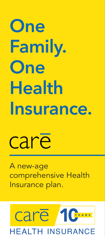# **One Family. One Health Insurance.**

# care

A new-age comprehensive Health Insurance plan.

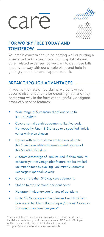# care



# **FOR WORRY FREE TODAY AND TOMORROW**

Your main concern should be getting well or nursing a loved one back to health and not hospital bills and other related expenses. So we want to get those bills out of your way with our simple plans and help in getting your health and happiness back.

# **BREAK THROUGH ADVANTAGES**

In addition to hassle-free claims, we believe you deserve distinct benefits for choosing care, and they come your way in the form of thoughtfully designed product & service features:

- Wide range of Sum Insured options of up to INR 75 Lakhs\*\*
- Covers non-allopathic treatments like Ayurveda, Homeopathy, Unani & Sidha up to a specified limit & varies with plan chosen
- Comes with an In-built maternity cover of up to INR 1 Lakh available with sum insured options of INR 50, 60 & 75 Lakhs
- Automatic recharge of Sum Insured if claim amount exhausts your coverage (this feature can be availed unlimited times by availing "Unlimited Automatic Recharge (Optional Cover))"
- Covers more than 540 day care treatments
- Option to avail personal accident cover
- No upper-limit entry age for any of our plans
- Up to 150% increase in Sum Insured with No Claim Bonus and No Claim Bonus Super(Optional Cover) in 5 consecutive claim free years\*

\* Incremental increase every year is applicable on base Sum Insured. If a claim is made in any particular year, accrued NCB and NCB-Super will be reduced at the same rate at which it is accrued. \*\* Higher Sum Insured options are also available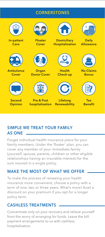# **CORNERSTONES**



# **SIMPLE WE TREAT YOUR FAMILY AS ONE**

Forget individual health insurance plans for your family members. Under the 'floater' plan, you can cover any member of your immediate family (yourself, spouse, parents, children or other eligible relationships having an insurable interest) for the sum insured in a single policy.

# **MAKE THE MOST OF WHAT WE OFFER**

To make the process of renewing your health insurance more convenient, choose a policy with a term of one, two or three years. What's more! Avail a discount on your premium if you opt for a longer policy term.

# **CASHLESS TREATMENTS**

Concentrate only on your recovery and relieve yourself from the worry of arranging for funds. Leave the bill payment arrangements to us with cashless hospitalisation.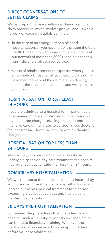# **DIRECT CONVERSATIONS TO SETTLE CLAIMS**

We back up our promise with an enduringly simple claim procedure, which involves just you and us with a network of leading hospitals pan India.

- In the case of an emergency or a planned hospitalisation, all you have to do is present the Care Health Card along with some simple documents at our network of more than 8000+ leading hospitals pan India and avail cashless service.
- In case of reimbursement of expenses when you use a non-network hospital, all you need to do is notify us immediately about the claim. Call us directly, send us the specified documents and we'll process your claim.

# **HOSPITALISATION FOR AT LEAST 24 HOURS**

If you are admitted to a hospital for in-patient care, for a minimum period of 24 consecutive hours, we pay for – room charges, nursing expenses and intensive care unit charges to surgeon's fee, doctor's fee, anesthesia, blood, oxygen, operation theater charges, etc.

# **HOSPITALISATION FOR LESS THAN 24 HOURS**

We also pay for your medical expenses if you undergo a specified day care treatment at a hospital that requires hospitalisation for less than 24 hours.

# **DOMICILIARY HOSPITALISATION**

We will reimburse the medical expenses incurred by you during your treatment at home within India, as long as it involves medical treatment for a period exceeding 3 consecutive days and had actually merited hospitalisation.

# **30 DAYS PRE-HOSPITALISATION**

Sometimes the procedures that finally lead you to hospital, such as investigative tests and medication, can be quite financially draining. We cover the medical expenses incurred by you up to 30 days before your hospitalisation.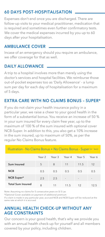# **60 DAYS POST-HOSPITALISATION**

Expenses don't end once you are discharged. There are follow-up visits to your medical practitioner, medication that is required and sometimes even further confirmatory tests. We cover the medical expenses incurred by you up to 60 days after your hospitalisation.

# **AMBULANCE COVER**

Incase of an emergency should you require an ambulance, we offer coverage for that as well.

# **DAILY ALLOWANCE**

A trip to a hospital involves more than merely using the doctor's services and hospital facilities. We reimburse those out-of-pocket expenses too as 'Daily Allowance' - a lump sum per day for each day of hospitalisation for a maximum of 5 days.

# **EXTRA CARE WITH NO CLAIMS BONUS – SUPER\***

If you do not claim your health insurance policy in a particular year, we raise a cheer to your good health in the form of a substantial bonus. You receive an increase of 50 % in your sum insured for every claim free year, up to the maximum of 100 % of the sum insured with optional cover NCB-Super. In addition to this, you also get a 10% increase in the sum insured, up to maximum of 50%, as per the regular No Claims Bonus feature.

| Illustration - No Claims Bonus + No Claims Bonus - Super (in`lacs) |        |        |                          |        |        |
|--------------------------------------------------------------------|--------|--------|--------------------------|--------|--------|
|                                                                    | Year 2 | Year 3 | Year 4                   | Year 5 | Year 6 |
| Sum Insured                                                        | 5      | 8      | 11                       | 11.5   | 12     |
| <b>NCB</b>                                                         | 0.5    | 0.5    | 0.5                      | 0.5    | 0.5    |
| NCB Super*                                                         | 2.5    | 2.5    | $\overline{\phantom{a}}$ | ٠      |        |
| <b>Total Sum Insured</b>                                           | 8      | 11     | 11.5                     | 12     | 12.5   |

Note: Assuming no claims for 5 consecutive years on SI 5 Lac

\*Optional Cover available on payment of additional premium

If a claim is made in any particular year, accrued NCB and NCB-Super will be reduced at the same rate at which it is accrued

# **ANNUAL HEALTH CHECK-UP WITHOUT ANY AGE CONSTRAINTS**

Our concern is your good health, that's why we provide you with an annual health check-up for yourself and all members covered by your policy, including children.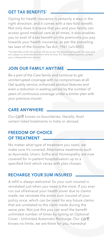### **GET TAX BENEFITS\***

Opting for health insurance is certainly a step in the right direction, and it comes with a two-fold benefit. Not only does it ensure that you and your family can access good medical care at all times, it also enables you to avail of a tax benefit on the premiums you pay towards your health insurance, as per the prevailing tax laws of the Income Tax Act, 1961 (u/s 80D).

\*Tax Benefits under the policy will be as per the prevailing Income Tax laws and are subject to amendments from time to time. For tax related queries, contact your independent tax advisor.

### **JOIN OUR FAMILY ANYTIME**

Be a part of the Care family and continue to get uninterrupted coverage with no compromises at all. Get quality service, enhanced product features and even a reduction in waiting period by the number of years of continuous coverage under a similar plan with your previous insurer.

# **CARE ANYWHERE**

Our Care knows no boundaries; literally. Avail certain listed treatments in India or abroad.

# **FREEDOM OF CHOICE OF TREATMENT**

No matter what type of treatment you need, we make sure it's covered. Alternative treatments such as Ayurveda, Unani, Sidha and Homeopathy are now covered for in-patient hospitalisation up to a specified limit which varies with plan chosen.

# **RECHARGE YOUR SUM INSURED**

A refill is always welcome! So your sum insured is reinstated just when you need it the most. If you ever run out of/exhaust your health cover due to claims made, we reinstate the entire sum insured of your policy once, which can be used for any future claims that are unrelated to the claim made during the same year. Not just this you can avail the benefit unlimited number of times by opting an Optional Cover - Unlimited Automatic Recharge. Our Care knows no limits; we are there for you, hamesha!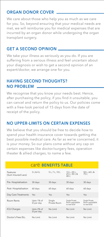# **ORGAN DONOR COVER**

We care about those who help you as much as we care for you. So, beyond ensuring that your medical needs are met, we will reimburse you for medical expenses that are incurred by an organ donor while undergoing the organ transplant surgery.

# **GET A SECOND OPINION**

We take your illness as seriously as you do. If you are suffering from a serious illness and feel uncertain about your diagnosis or wish to get a second opinion of an expert/doctor, we arrange one for you.

# **HAVING SECOND THOUGHTS? NO PROBLEM**

We recognise that you know your needs best. Hence, after purchasing the policy, if you find it unsuitable, you can cancel and return the policy to us. Our policies come with a free-look period of 15 days from the date of receipt of the policy.

# **NO UPPER-LIMITS ON CERTAIN EXPENSES**

We believe that you should be free to decide how to spend your health insurance cover towards getting the best possible medical care. As far as we're concerned, it is your money. So our plans come without any cap on certain expenses like doctor/surgery fees, operation theater & allied charges, to name a few.

|                                |                          | <b>CALC BENEFITS TABLE</b> |                                                    |                                                    |
|--------------------------------|--------------------------|----------------------------|----------------------------------------------------|----------------------------------------------------|
| Features<br>(Sum Insured Lacs) | 31841                    | 5 L. 7 L. 10 L             | 15 L, 20 L,<br>25 L, 30 L'&<br>40 <sub>1</sub>     | 50 L, 60 L &<br>751'                               |
| Pre-Hospitalisation            | 30 days                  | 30 days                    | 30 days                                            | 30 days                                            |
| Post-Hospitalisation           | 60 days                  | 60 days                    | 60 days                                            | 60 days                                            |
| Day Care Treatments            | Yes                      | Yes                        | Yes                                                | Yes                                                |
| Room Rents                     | Upto 1% of<br>SI per day | Single<br>Private Room     | Single Private<br>Room upgradable<br>to next level | Single Private<br>Room upgradable<br>to next level |
| <b>ICU Charges</b>             | Upto 2% of<br>SI per day | No I imit                  | No Limit                                           | No I imit                                          |
| Doctor's Fees Etc.             | No Limit                 | No I imit                  | No I imit                                          | No I imit                                          |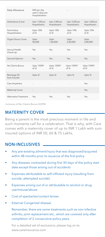| Daily Allowance                | 500 per day<br>upto 5 days per<br>hospitalization |                                    |                                    |                                    |
|--------------------------------|---------------------------------------------------|------------------------------------|------------------------------------|------------------------------------|
| Ambulance Cover                | Upto `1,500 per<br>Hospitalization                | Upto '2,000 per<br>Hospitalization | Upto `2,500 per<br>Hospitalization | Upto '3,000 per<br>Hospitalization |
| Domiciliary<br>Hospitalisation | Upto 10%<br>of SI                                 | Upto 10%<br>of SI                  | Upto 10%<br>of SI                  | Upto 10%<br>of SI                  |
| Organ Donor Cover              | Upto<br>50,000                                    | Upto<br>1,00,000                   | Upto<br>2,00,000                   | Upto<br>3,00,000                   |
| Annual Health<br>Check-Up      | Yes                                               | Yes                                | Yes                                | Yes                                |
| Second Opinion                 | Yes                                               | Yes                                | Yes                                | Yes                                |
| No Claims Bonus                | Upto 150%*<br>of SL                               | Upto 150%*<br>of SI                | Upto 150%*<br>of SL                | Upto 150%*<br>of SI                |
| Recharge Of<br>Sum Insured     | Upto SI                                           | Upto SI                            | Upto SI                            | Upto SI                            |
| Care Anywhere                  |                                                   | ×                                  |                                    | Yes                                |
| <b>Maternity Cover</b>         |                                                   |                                    |                                    | Yes                                |
| Alternative Treatment          | Yes                                               | Yes                                | Yes                                | Yes                                |

Inclusive of No Claims Bonus-SUPER.

# **MATERNITY COVER**

Being a parent is the most precious moment in life and such moments call for a celebration. That is why, with Care comes with a maternity cover of up to INR 1 Lakh with sum insured options of INR 50, 60 & 75 Lakhs.

# **NON-INCLUSIVES**

- Any pre-existing ailment/injury that was diagnosed/acquired within 48 months prior to issuance of the first policy
- Any diseases contracted during first 30 days of the policy start date except those arising out of accidents
- Expenses attributable to self-inflicted injury (resulting from suicide, attempted suicide)
- Expenses arising out of or attributable to alcohol or drug use/misuse/abuse
- Cost of spectacles/contact lenses
- **External Congenital disease**

 Remember, there are some treatments such as non-infective arthritis, joint replacement etc., which are covered only after completion of 2 consecutive policy years.

 For a detailed set of exclusions, please log on to www.careinsurance.com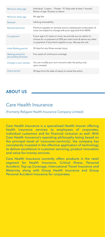| Minimum entry age                            | Individual: 5 years; Floater: 91 Days with at least 1 Insured<br>Person of age 18 years or above                                                                                             |
|----------------------------------------------|----------------------------------------------------------------------------------------------------------------------------------------------------------------------------------------------|
| Minimum entry age                            | No age bar                                                                                                                                                                                   |
| Renewal                                      | Lifelong renewability                                                                                                                                                                        |
| Renewal premium                              | Premium payable on renewal and on subsequent continuation of<br>cover are subject to change with prior approval from IRDAI.                                                                  |
| Co-payment                                   | If your age is 61 years or more, we provide you an option to<br>choose for co-payment of 20% per claim (over & above any other<br>co-payment, If any) which applies to you. We pay the rest. |
| Initial Waiting period                       | 30 days for any illness except injury                                                                                                                                                        |
| Waiting period for<br>pre-existing illnesses | Four years of continuous coverage                                                                                                                                                            |
| Change in sum insured                        | You can modify your sum insured under the policy only<br>upon renewal                                                                                                                        |
| Grace period                                 | 30 days from the date of expiry to renew the policy                                                                                                                                          |

# **ABOUT US**

# Care Health Insurance

(Formerly Religare Health Insurance Company Limited)

Care Health Insurance is a specialized Health Insurer offering health insurance services to employees of corporates, individual customers and for financial inclusion as well. With Care Health Insurance's operating philosophy being based on the principal tenet of 'consumer-centricity', the company has consistently invested in the effective application of technology to deliver excellence in customer servicing, product innovation and value-for-money services.

Care Health Insurance currently offers products in the retail segment for Health Insurance, Critical Illness, Personal Accident, Top-up Coverage, International Travel Insurance and Maternity along with Group Health Insurance and Group Personal Accident Insurance for corporates.